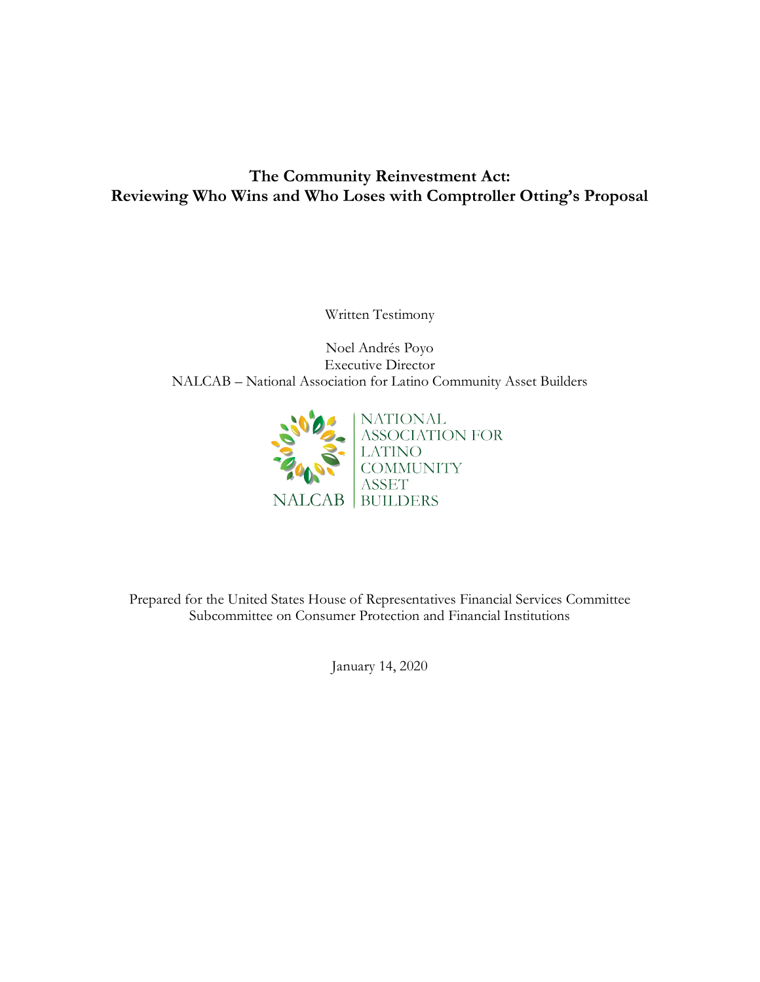# **The Community Reinvestment Act: Reviewing Who Wins and Who Loses with Comptroller Otting's Proposal**

Written Testimony

Noel Andrés Poyo Executive Director NALCAB – National Association for Latino Community Asset Builders



Prepared for the United States House of Representatives Financial Services Committee Subcommittee on Consumer Protection and Financial Institutions

January 14, 2020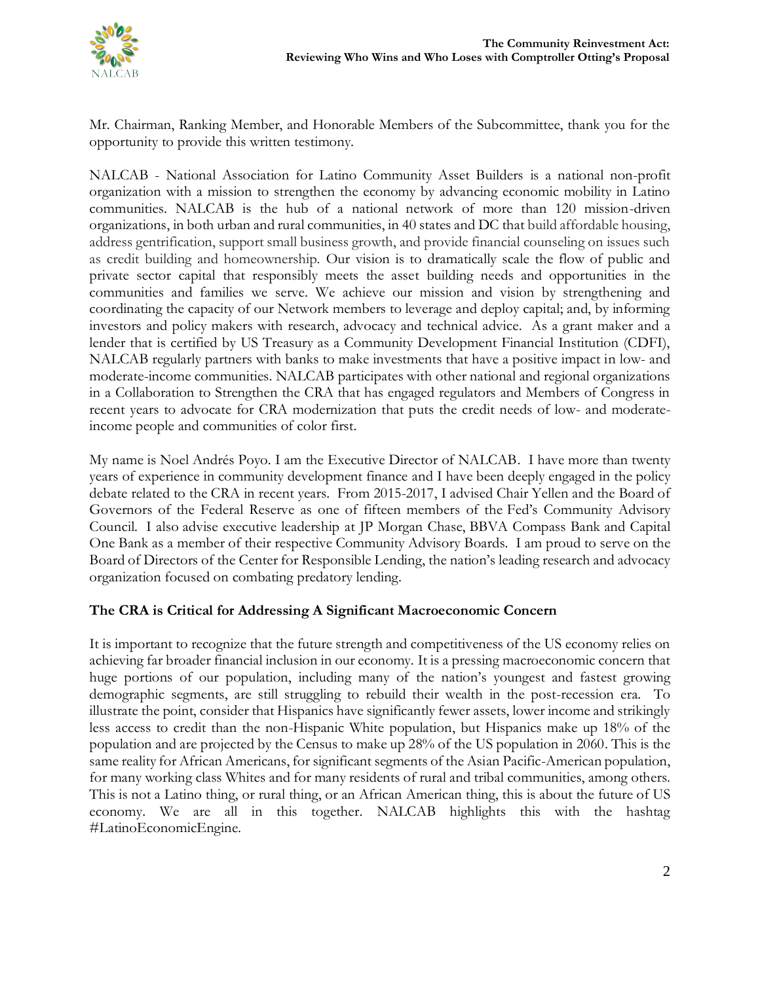

Mr. Chairman, Ranking Member, and Honorable Members of the Subcommittee, thank you for the opportunity to provide this written testimony.

NALCAB - National Association for Latino Community Asset Builders is a national non-profit organization with a mission to strengthen the economy by advancing economic mobility in Latino communities. NALCAB is the hub of a national network of more than 120 mission-driven organizations, in both urban and rural communities, in 40 states and DC that build affordable housing, address gentrification, support small business growth, and provide financial counseling on issues such as credit building and homeownership. Our vision is to dramatically scale the flow of public and private sector capital that responsibly meets the asset building needs and opportunities in the communities and families we serve. We achieve our mission and vision by strengthening and coordinating the capacity of our Network members to leverage and deploy capital; and, by informing investors and policy makers with research, advocacy and technical advice. As a grant maker and a lender that is certified by US Treasury as a Community Development Financial Institution (CDFI), NALCAB regularly partners with banks to make investments that have a positive impact in low- and moderate-income communities. NALCAB participates with other national and regional organizations in a Collaboration to Strengthen the CRA that has engaged regulators and Members of Congress in recent years to advocate for CRA modernization that puts the credit needs of low- and moderateincome people and communities of color first.

My name is Noel Andrés Poyo. I am the Executive Director of NALCAB. I have more than twenty years of experience in community development finance and I have been deeply engaged in the policy debate related to the CRA in recent years. From 2015-2017, I advised Chair Yellen and the Board of Governors of the Federal Reserve as one of fifteen members of the Fed's Community Advisory Council. I also advise executive leadership at JP Morgan Chase, BBVA Compass Bank and Capital One Bank as a member of their respective Community Advisory Boards. I am proud to serve on the Board of Directors of the [Center for Responsible Lending,](http://www.responsiblelending.org/about-us/board-directors) the nation's leading research and advocacy organization focused on combating predatory lending.

# **The CRA is Critical for Addressing A Significant Macroeconomic Concern**

It is important to recognize that the future strength and competitiveness of the US economy relies on achieving far broader financial inclusion in our economy. It is a pressing macroeconomic concern that huge portions of our population, including many of the nation's youngest and fastest growing demographic segments, are still struggling to rebuild their wealth in the post-recession era. To illustrate the point, consider that Hispanics have significantly fewer assets, lower income and strikingly less access to credit than the non-Hispanic White population, but Hispanics make up 18% of the population and are projected by the Census to make up 28% of the US population in 2060. This is the same reality for African Americans, for significant segments of the Asian Pacific-American population, for many working class Whites and for many residents of rural and tribal communities, among others. This is not a Latino thing, or rural thing, or an African American thing, this is about the future of US economy. We are all in this together. NALCAB highlights this with the hashtag #LatinoEconomicEngine.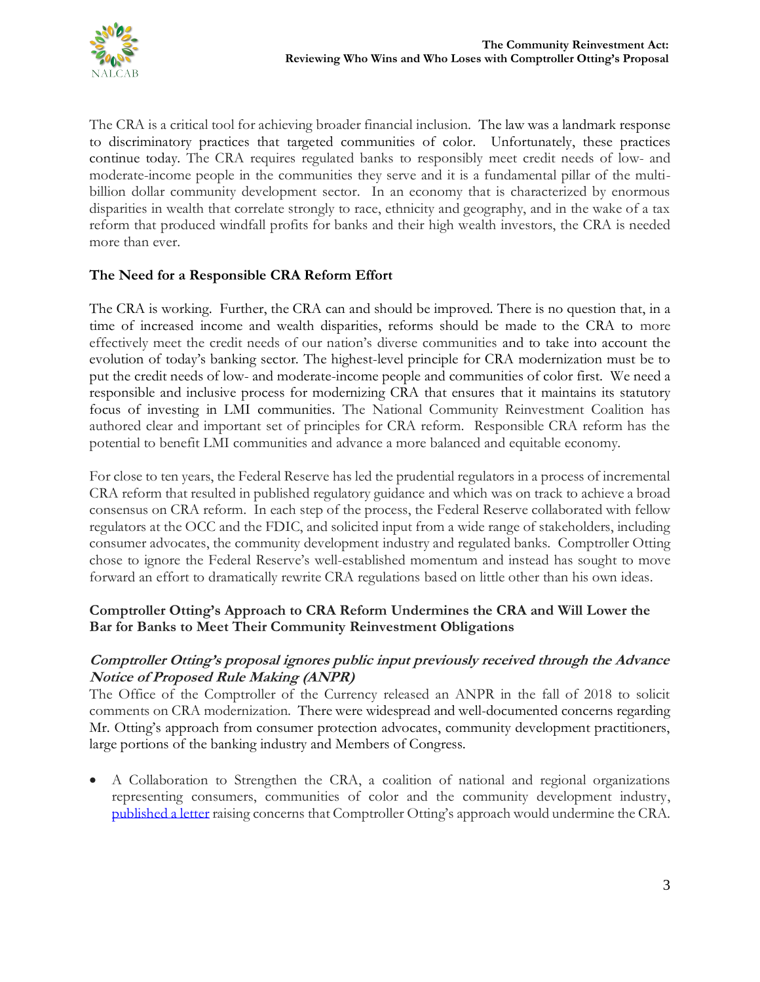

The CRA is a critical tool for achieving broader financial inclusion. The law was a landmark response to discriminatory practices that targeted communities of color. Unfortunately, these practices continue today. The CRA requires regulated banks to responsibly meet credit needs of low- and moderate-income people in the communities they serve and it is a fundamental pillar of the multibillion dollar community development sector. In an economy that is characterized by enormous disparities in wealth that correlate strongly to race, ethnicity and geography, and in the wake of a tax reform that produced windfall profits for banks and their high wealth investors, the CRA is needed more than ever.

# **The Need for a Responsible CRA Reform Effort**

The CRA is working. Further, the CRA can and should be improved. There is no question that, in a time of increased income and wealth disparities, reforms should be made to the CRA to more effectively meet the credit needs of our nation's diverse communities and to take into account the evolution of today's banking sector. The highest-level principle for CRA modernization must be to put the credit needs of low- and moderate-income people and communities of color first. We need a responsible and inclusive process for modernizing CRA that ensures that it maintains its statutory focus of investing in LMI communities. The National Community Reinvestment Coalition has authored clear and important set of principles for CRA reform. Responsible CRA reform has the potential to benefit LMI communities and advance a more balanced and equitable economy.

For close to ten years, the Federal Reserve has led the prudential regulators in a process of incremental CRA reform that resulted in published regulatory guidance and which was on track to achieve a broad consensus on CRA reform. In each step of the process, the Federal Reserve collaborated with fellow regulators at the OCC and the FDIC, and solicited input from a wide range of stakeholders, including consumer advocates, the community development industry and regulated banks. Comptroller Otting chose to ignore the Federal Reserve's well-established momentum and instead has sought to move forward an effort to dramatically rewrite CRA regulations based on little other than his own ideas.

# **Comptroller Otting's Approach to CRA Reform Undermines the CRA and Will Lower the Bar for Banks to Meet Their Community Reinvestment Obligations**

## **Comptroller Otting's proposal ignores public input previously received through the Advance Notice of Proposed Rule Making (ANPR)**

The Office of the Comptroller of the Currency released an ANPR in the fall of 2018 to solicit comments on CRA modernization. There were widespread and well-documented concerns regarding Mr. Otting's approach from consumer protection advocates, community development practitioners, large portions of the banking industry and Members of Congress.

• A Collaboration to Strengthen the CRA, a coalition of national and regional organizations representing consumers, communities of color and the community development industry, [published a letter](https://nalcab.org/a-collaboration-to-strengthen-the-community-reinvestment-act/) raising concerns that Comptroller Otting's approach would undermine the CRA.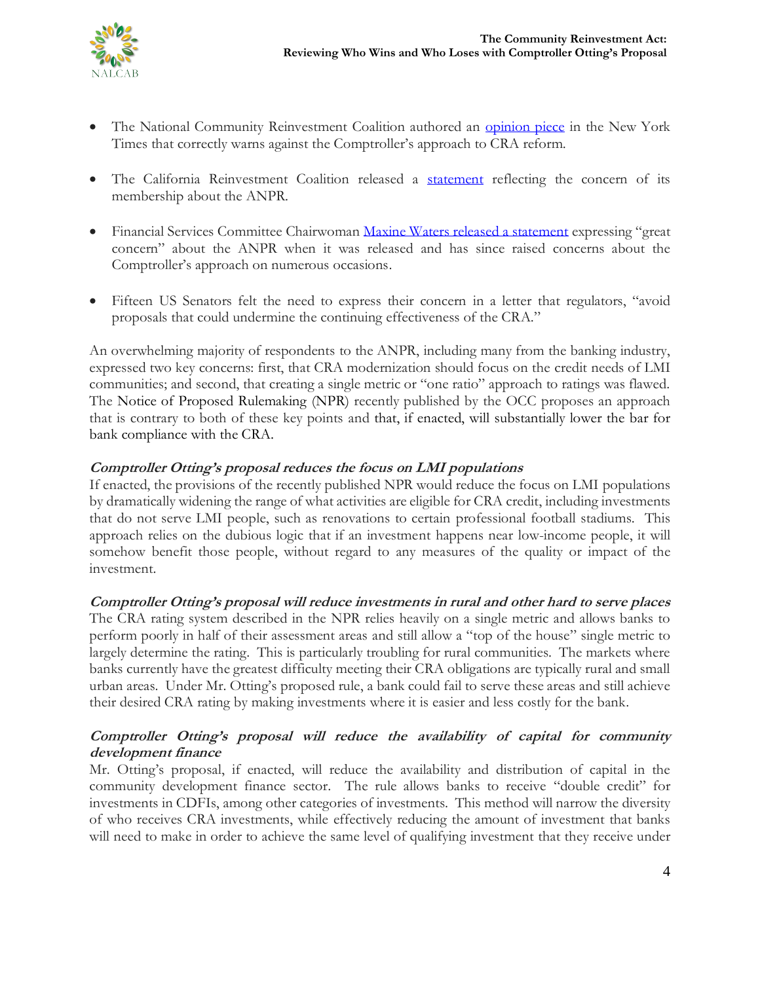

- The National Community Reinvestment Coalition authored an [opinion piece](https://www.nytimes.com/2018/08/28/opinion/trump-mortgage-redlining-cra.html?rref=collection%2Fsectioncollection%2Fopinion&action=click&contentCollection=opinion®ion=stream&module=stream_unit&version=latest&contentPlacement=2&pgtype=sectionfront&mc_cid=1c5ea5b013&mc_eid=4d648de200) in the New York Times that correctly warns against the Comptroller's approach to CRA reform.
- The California Reinvestment Coalition released a [statement](http://www.calreinvest.org/news/wall-street-and-big-banks-set-to-win-big-from-proposed-rollback-of-redlining-law) reflecting the concern of its membership about the ANPR.
- Financial Services Committee Chairwoman [Maxine Waters released a statement](https://democrats-financialservices.house.gov/news/documentsingle.aspx?DocumentID=401559) expressing "great concern" about the ANPR when it was released and has since raised concerns about the Comptroller's approach on numerous occasions.
- Fifteen US Senators felt the need to express their concern in a letter that regulators, "avoid proposals that could undermine the continuing effectiveness of the CRA."

An overwhelming majority of respondents to the ANPR, including many from the banking industry, expressed two key concerns: first, that CRA modernization should focus on the credit needs of LMI communities; and second, that creating a single metric or "one ratio" approach to ratings was flawed. The Notice of Proposed Rulemaking (NPR) recently published by the OCC proposes an approach that is contrary to both of these key points and that, if enacted, will substantially lower the bar for bank compliance with the CRA.

# **Comptroller Otting's proposal reduces the focus on LMI populations**

If enacted, the provisions of the recently published NPR would reduce the focus on LMI populations by dramatically widening the range of what activities are eligible for CRA credit, including investments that do not serve LMI people, such as renovations to certain professional football stadiums. This approach relies on the dubious logic that if an investment happens near low-income people, it will somehow benefit those people, without regard to any measures of the quality or impact of the investment.

#### **Comptroller Otting's proposal will reduce investments in rural and other hard to serve places**

The CRA rating system described in the NPR relies heavily on a single metric and allows banks to perform poorly in half of their assessment areas and still allow a "top of the house" single metric to largely determine the rating. This is particularly troubling for rural communities. The markets where banks currently have the greatest difficulty meeting their CRA obligations are typically rural and small urban areas. Under Mr. Otting's proposed rule, a bank could fail to serve these areas and still achieve their desired CRA rating by making investments where it is easier and less costly for the bank.

## **Comptroller Otting's proposal will reduce the availability of capital for community development finance**

Mr. Otting's proposal, if enacted, will reduce the availability and distribution of capital in the community development finance sector. The rule allows banks to receive "double credit" for investments in CDFIs, among other categories of investments. This method will narrow the diversity of who receives CRA investments, while effectively reducing the amount of investment that banks will need to make in order to achieve the same level of qualifying investment that they receive under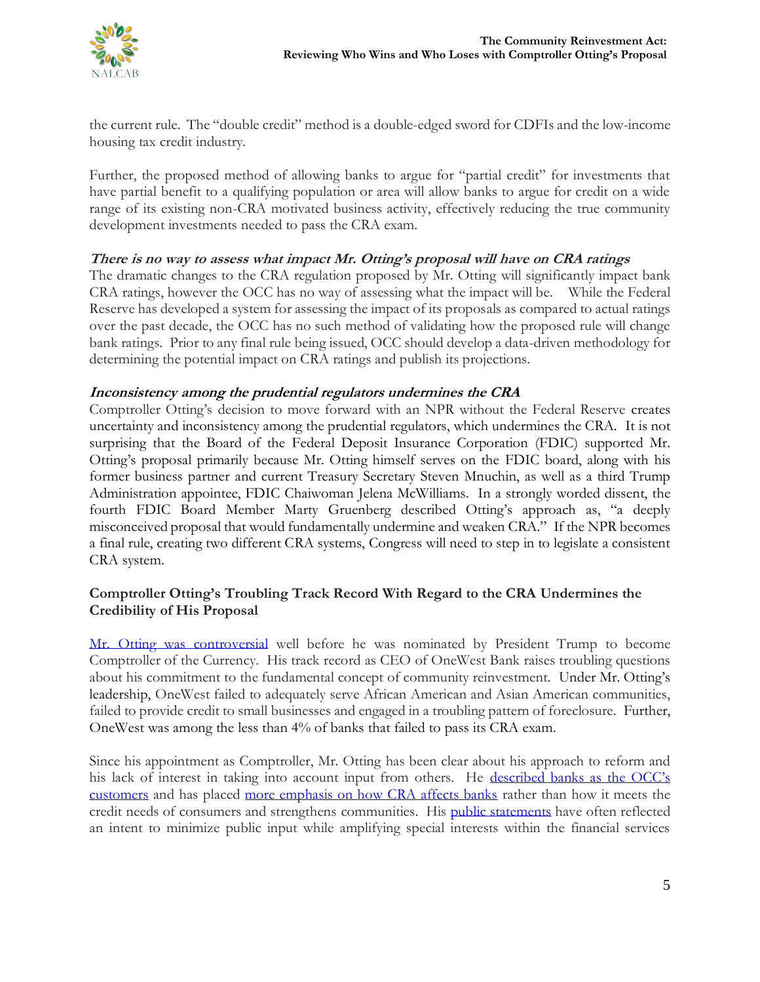

the current rule. The "double credit" method is a double-edged sword for CDFIs and the low-income housing tax credit industry.

Further, the proposed method of allowing banks to argue for "partial credit" for investments that have partial benefit to a qualifying population or area will allow banks to argue for credit on a wide range of its existing non-CRA motivated business activity, effectively reducing the true community development investments needed to pass the CRA exam.

## **There is no way to assess what impact Mr. Otting's proposal will have on CRA ratings**

The dramatic changes to the CRA regulation proposed by Mr. Otting will significantly impact bank CRA ratings, however the OCC has no way of assessing what the impact will be. While the Federal Reserve has developed a system for assessing the impact of its proposals as compared to actual ratings over the past decade, the OCC has no such method of validating how the proposed rule will change bank ratings. Prior to any final rule being issued, OCC should develop a data-driven methodology for determining the potential impact on CRA ratings and publish its projections.

## **Inconsistency among the prudential regulators undermines the CRA**

Comptroller Otting's decision to move forward with an NPR without the Federal Reserve creates uncertainty and inconsistency among the prudential regulators, which undermines the CRA. It is not surprising that the Board of the Federal Deposit Insurance Corporation (FDIC) supported Mr. Otting's proposal primarily because Mr. Otting himself serves on the FDIC board, along with his former business partner and current Treasury Secretary Steven Mnuchin, as well as a third Trump Administration appointee, FDIC Chaiwoman Jelena McWilliams. In a strongly worded dissent, the fourth FDIC Board Member Marty Gruenberg described Otting's approach as, "a deeply misconceived proposal that would fundamentally undermine and weaken CRA." If the NPR becomes a final rule, creating two different CRA systems, Congress will need to step in to legislate a consistent CRA system.

## **Comptroller Otting's Troubling Track Record With Regard to the CRA Undermines the Credibility of His Proposal**

[Mr. Otting was controversial](http://cepr.net/blogs/cepr-blog/one-trump-appointee-two-jobs-too-many-causes-for-concern) well before he was nominated by President Trump to become Comptroller of the Currency. His track record as CEO of OneWest Bank raises troubling questions about his commitment to the fundamental concept of community reinvestment. Under Mr. Otting's leadership, OneWest failed to adequately serve African American and Asian American communities, failed to provide credit to small businesses and engaged in a troubling pattern of foreclosure. Further, OneWest was among the less than 4% of banks that failed to pass its CRA exam.

Since his appointment as Comptroller, Mr. Otting has been clear about his approach to reform and his lack of interest in taking into account input from others. He described ba[nks as the OCC's](https://www.bloomberg.com/news/articles/2018-04-09/trump-picked-watchdog-tells-banks-he-really-really-likes-them)  [customers](https://www.bloomberg.com/news/articles/2018-04-09/trump-picked-watchdog-tells-banks-he-really-really-likes-them) and has placed [more emphasis on how CRA affects banks](https://www.politico.com/story/2018/06/14/joseph-otting-old-boys-club-in-industry-625352) rather than how it meets the credit needs of consumers and strengthens communities. His [public statements](http://independentbanker.org/2018/04/qa-the-occs-joseph-otting/) have often reflected an intent to minimize public input while amplifying special interests within the financial services